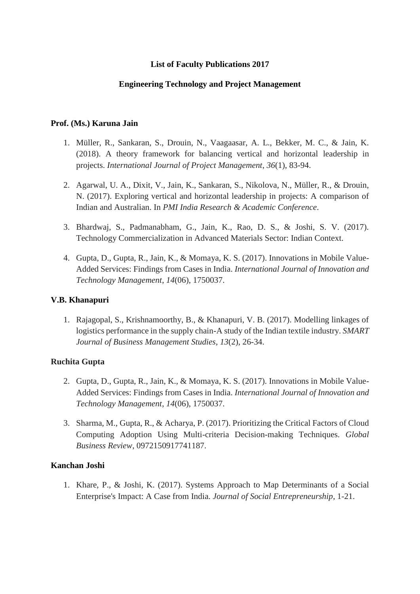# **List of Faculty Publications 2017**

### **Engineering Technology and Project Management**

### **Prof. (Ms.) Karuna Jain**

- 1. Müller, R., Sankaran, S., Drouin, N., Vaagaasar, A. L., Bekker, M. C., & Jain, K. (2018). A theory framework for balancing vertical and horizontal leadership in projects. *International Journal of Project Management*, *36*(1), 83-94.
- 2. Agarwal, U. A., Dixit, V., Jain, K., Sankaran, S., Nikolova, N., Müller, R., & Drouin, N. (2017). Exploring vertical and horizontal leadership in projects: A comparison of Indian and Australian. In *PMI India Research & Academic Conference*.
- 3. Bhardwaj, S., Padmanabham, G., Jain, K., Rao, D. S., & Joshi, S. V. (2017). Technology Commercialization in Advanced Materials Sector: Indian Context.
- 4. Gupta, D., Gupta, R., Jain, K., & Momaya, K. S. (2017). Innovations in Mobile Value-Added Services: Findings from Cases in India. *International Journal of Innovation and Technology Management*, *14*(06), 1750037.

## **V.B. [Khanapuri](https://www.nitie.edu/index.php?option=com_content&task=view&id=78&Itemid=103&lang=en)**

1. Rajagopal, S., Krishnamoorthy, B., & Khanapuri, V. B. (2017). Modelling linkages of logistics performance in the supply chain-A study of the Indian textile industry. *SMART Journal of Business Management Studies*, *13*(2), 26-34.

## **Ruchita Gupta**

- 2. Gupta, D., Gupta, R., Jain, K., & Momaya, K. S. (2017). Innovations in Mobile Value-Added Services: Findings from Cases in India. *International Journal of Innovation and Technology Management*, *14*(06), 1750037.
- 3. Sharma, M., Gupta, R., & Acharya, P. (2017). Prioritizing the Critical Factors of Cloud Computing Adoption Using Multi-criteria Decision-making Techniques. *Global Business Review*, 0972150917741187.

## **Kanchan Joshi**

1. Khare, P., & Joshi, K. (2017). Systems Approach to Map Determinants of a Social Enterprise's Impact: A Case from India. *Journal of Social Entrepreneurship*, 1-21.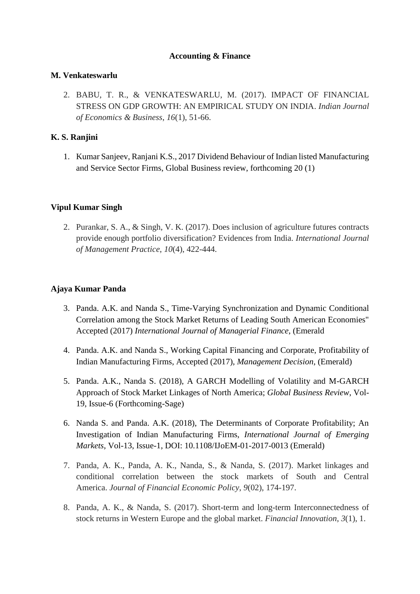### **Accounting & Finance**

### **M. [Venkateswarlu](https://www.nitie.edu/MV%20Profile%20for%20NITIE-Prof.%20Venkateshwarlu.pdf)**

2. BABU, T. R., & VENKATESWARLU, M. (2017). IMPACT OF FINANCIAL STRESS ON GDP GROWTH: AN EMPIRICAL STUDY ON INDIA. *Indian Journal of Economics & Business*, *16*(1), 51-66.

# **[K. S. Ranjini](https://www.nitie.edu/MV%20Profile%20for%20NITIE-Prof.%20Venkateshwarlu.pdf)**

1. Kumar Sanjeev, Ranjani K.S., 2017 Dividend Behaviour of Indian listed Manufacturing and Service Sector Firms, Global Business review, forthcoming 20 (1)

## **Vipul Kumar Singh**

2. Purankar, S. A., & Singh, V. K. (2017). Does inclusion of agriculture futures contracts provide enough portfolio diversification? Evidences from India. *International Journal of Management Practice*, *10*(4), 422-444.

# **Ajaya Kumar Panda**

- 3. Panda. A.K. and Nanda S., Time-Varying Synchronization and Dynamic Conditional Correlation among the Stock Market Returns of Leading South American Economies" Accepted (2017) *International Journal of Managerial Finance*, (Emerald
- 4. Panda. A.K. and Nanda S., Working Capital Financing and Corporate, Profitability of Indian Manufacturing Firms, Accepted (2017), *Management Decision*, (Emerald)
- 5. Panda. A.K., Nanda S. (2018), A GARCH Modelling of Volatility and M-GARCH Approach of Stock Market Linkages of North America; *Global Business Review*, Vol-19, Issue-6 (Forthcoming-Sage)
- 6. Nanda S. and Panda. A.K. (2018), The Determinants of Corporate Profitability; An Investigation of Indian Manufacturing Firms, *International Journal of Emerging Markets*, Vol-13, Issue-1, DOI: 10.1108/IJoEM-01-2017-0013 (Emerald)
- 7. Panda, A. K., Panda, A. K., Nanda, S., & Nanda, S. (2017). Market linkages and conditional correlation between the stock markets of South and Central America. *Journal of Financial Economic Policy*, *9*(02), 174-197.
- 8. Panda, A. K., & Nanda, S. (2017). Short-term and long-term Interconnectedness of stock returns in Western Europe and the global market. *Financial Innovation*, *3*(1), 1.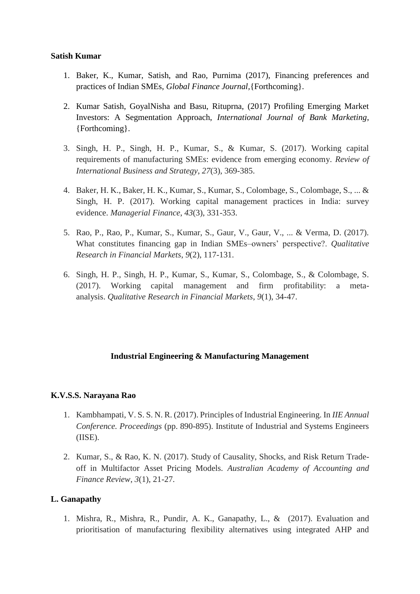### **Satish Kumar**

- 1. Baker, K., Kumar, Satish, and Rao, Purnima (2017), Financing preferences and practices of Indian SMEs, *Global Finance Journal,*{Forthcoming}.
- 2. Kumar Satish, GoyalNisha and Basu, Rituprna, (2017) Profiling Emerging Market Investors: A Segmentation Approach, *International Journal of Bank Marketing*, {Forthcoming}.
- 3. Singh, H. P., Singh, H. P., Kumar, S., & Kumar, S. (2017). Working capital requirements of manufacturing SMEs: evidence from emerging economy. *Review of International Business and Strategy*, *27*(3), 369-385.
- 4. Baker, H. K., Baker, H. K., Kumar, S., Kumar, S., Colombage, S., Colombage, S., ... & Singh, H. P. (2017). Working capital management practices in India: survey evidence. *Managerial Finance*, *43*(3), 331-353.
- 5. Rao, P., Rao, P., Kumar, S., Kumar, S., Gaur, V., Gaur, V., ... & Verma, D. (2017). What constitutes financing gap in Indian SMEs–owners' perspective?. *Qualitative Research in Financial Markets*, *9*(2), 117-131.
- 6. Singh, H. P., Singh, H. P., Kumar, S., Kumar, S., Colombage, S., & Colombage, S. (2017). Working capital management and firm profitability: a metaanalysis. *Qualitative Research in Financial Markets*, *9*(1), 34-47.

# **Industrial Engineering & Manufacturing Management**

## **K.V.S.S. [Narayana](https://www.nitie.edu/index.php?option=com_content&task=view&id=538&Itemid=103&lang=en) Rao**

- 1. Kambhampati, V. S. S. N. R. (2017). Principles of Industrial Engineering. In *IIE Annual Conference. Proceedings* (pp. 890-895). Institute of Industrial and Systems Engineers (IISE).
- 2. Kumar, S., & Rao, K. N. (2017). Study of Causality, Shocks, and Risk Return Tradeoff in Multifactor Asset Pricing Models. *Australian Academy of Accounting and Finance Review*, *3*(1), 21-27.

## **L. [Ganapathy](https://www.nitie.edu/index.php?option=com_content&task=view&id=75&Itemid=103&lang=en)**

1. Mishra, R., Mishra, R., Pundir, A. K., Ganapathy, L., & (2017). Evaluation and prioritisation of manufacturing flexibility alternatives using integrated AHP and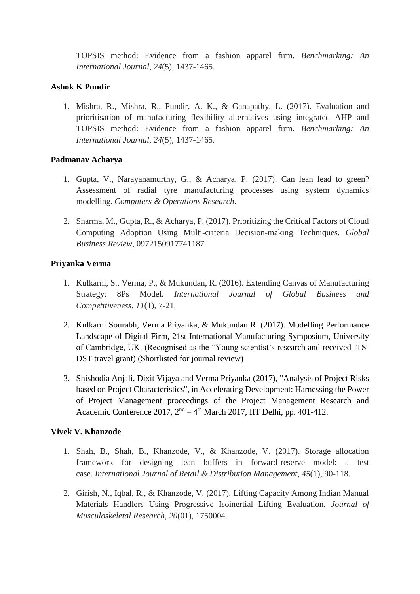TOPSIS method: Evidence from a fashion apparel firm. *Benchmarking: An International Journal*, *24*(5), 1437-1465.

# **Ashok K [Pundir](https://www.nitie.edu/Ashok%20Pundir_Profile_1.doc)**

1. Mishra, R., Mishra, R., Pundir, A. K., & Ganapathy, L. (2017). Evaluation and prioritisation of manufacturing flexibility alternatives using integrated AHP and TOPSIS method: Evidence from a fashion apparel firm. *Benchmarking: An International Journal*, *24*(5), 1437-1465.

# **[Padmanav](http://www.nitie.edu/Faculty%20Profile/padmanav.pdf) Acharya**

- 1. Gupta, V., Narayanamurthy, G., & Acharya, P. (2017). Can lean lead to green? Assessment of radial tyre manufacturing processes using system dynamics modelling. *Computers & Operations Research*.
- 2. Sharma, M., Gupta, R., & Acharya, P. (2017). Prioritizing the Critical Factors of Cloud Computing Adoption Using Multi-criteria Decision-making Techniques. *Global Business Review*, 0972150917741187.

# **Priyanka Verma**

- 1. Kulkarni, S., Verma, P., & Mukundan, R. (2016). Extending Canvas of Manufacturing Strategy: 8Ps Model. *International Journal of Global Business and Competitiveness*, *11*(1), 7-21.
- 2. Kulkarni Sourabh, Verma Priyanka, & Mukundan R. (2017). Modelling Performance Landscape of Digital Firm, 21st International Manufacturing Symposium, University of Cambridge, UK. (Recognised as the "Young scientist's research and received ITS-DST travel grant) (Shortlisted for journal review)
- 3. Shishodia Anjali, Dixit Vijaya and Verma Priyanka (2017), "Analysis of Project Risks based on Project Characteristics", in Accelerating Development: Harnessing the Power of Project Management proceedings of the Project Management Research and Academic Conference  $2017$ ,  $2<sup>nd</sup> - 4<sup>th</sup>$  March 2017, IIT Delhi, pp. 401-412.

## **Vivek V. [Khanzode](http://www.nitie.edu/Faculty%20Profile/vivek%20jr.pdf)**

- 1. Shah, B., Shah, B., Khanzode, V., & Khanzode, V. (2017). Storage allocation framework for designing lean buffers in forward-reserve model: a test case. *International Journal of Retail & Distribution Management*, *45*(1), 90-118.
- 2. Girish, N., Iqbal, R., & Khanzode, V. (2017). Lifting Capacity Among Indian Manual Materials Handlers Using Progressive Isoinertial Lifting Evaluation. *Journal of Musculoskeletal Research*, *20*(01), 1750004.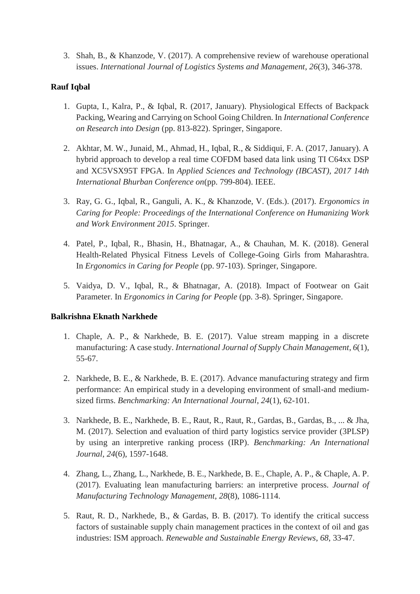3. Shah, B., & Khanzode, V. (2017). A comprehensive review of warehouse operational issues. *International Journal of Logistics Systems and Management*, *26*(3), 346-378.

# **Rauf [Iqbal](https://www.nitie.edu/CV%20-%20Rauf%20Feb%202017%20updated.pdf)**

- 1. Gupta, I., Kalra, P., & Iqbal, R. (2017, January). Physiological Effects of Backpack Packing, Wearing and Carrying on School Going Children. In *International Conference on Research into Design* (pp. 813-822). Springer, Singapore.
- 2. Akhtar, M. W., Junaid, M., Ahmad, H., Iqbal, R., & Siddiqui, F. A. (2017, January). A hybrid approach to develop a real time COFDM based data link using TI C64xx DSP and XC5VSX95T FPGA. In *Applied Sciences and Technology (IBCAST), 2017 14th International Bhurban Conference on*(pp. 799-804). IEEE.
- 3. Ray, G. G., Iqbal, R., Ganguli, A. K., & Khanzode, V. (Eds.). (2017). *Ergonomics in Caring for People: Proceedings of the International Conference on Humanizing Work and Work Environment 2015*. Springer.
- 4. Patel, P., Iqbal, R., Bhasin, H., Bhatnagar, A., & Chauhan, M. K. (2018). General Health-Related Physical Fitness Levels of College-Going Girls from Maharashtra. In *Ergonomics in Caring for People* (pp. 97-103). Springer, Singapore.
- 5. Vaidya, D. V., Iqbal, R., & Bhatnagar, A. (2018). Impact of Footwear on Gait Parameter. In *Ergonomics in Caring for People* (pp. 3-8). Springer, Singapore.

## **[Balkrishna Eknath Narkhede](https://www.nitie.edu/BENarkhede-CV-30102017.pdf)**

- 1. Chaple, A. P., & Narkhede, B. E. (2017). Value stream mapping in a discrete manufacturing: A case study. *International Journal of Supply Chain Management*, *6*(1), 55-67.
- 2. Narkhede, B. E., & Narkhede, B. E. (2017). Advance manufacturing strategy and firm performance: An empirical study in a developing environment of small-and mediumsized firms. *Benchmarking: An International Journal*, *24*(1), 62-101.
- 3. Narkhede, B. E., Narkhede, B. E., Raut, R., Raut, R., Gardas, B., Gardas, B., ... & Jha, M. (2017). Selection and evaluation of third party logistics service provider (3PLSP) by using an interpretive ranking process (IRP). *Benchmarking: An International Journal*, *24*(6), 1597-1648.
- 4. Zhang, L., Zhang, L., Narkhede, B. E., Narkhede, B. E., Chaple, A. P., & Chaple, A. P. (2017). Evaluating lean manufacturing barriers: an interpretive process. *Journal of Manufacturing Technology Management*, *28*(8), 1086-1114.
- 5. Raut, R. D., Narkhede, B., & Gardas, B. B. (2017). To identify the critical success factors of sustainable supply chain management practices in the context of oil and gas industries: ISM approach. *Renewable and Sustainable Energy Reviews*, *68*, 33-47.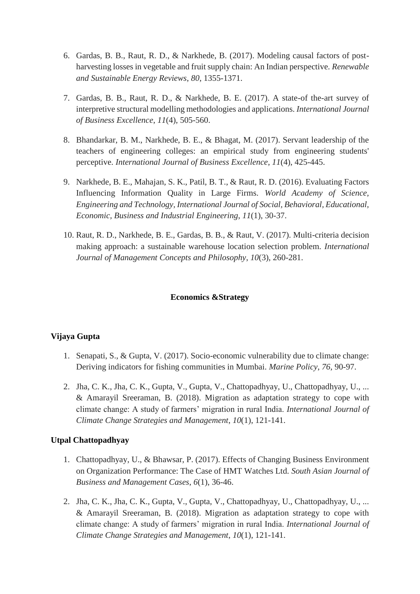- 6. Gardas, B. B., Raut, R. D., & Narkhede, B. (2017). Modeling causal factors of postharvesting losses in vegetable and fruit supply chain: An Indian perspective. *Renewable and Sustainable Energy Reviews*, *80*, 1355-1371.
- 7. Gardas, B. B., Raut, R. D., & Narkhede, B. E. (2017). A state-of the-art survey of interpretive structural modelling methodologies and applications. *International Journal of Business Excellence*, *11*(4), 505-560.
- 8. Bhandarkar, B. M., Narkhede, B. E., & Bhagat, M. (2017). Servant leadership of the teachers of engineering colleges: an empirical study from engineering students' perceptive. *International Journal of Business Excellence*, *11*(4), 425-445.
- 9. Narkhede, B. E., Mahajan, S. K., Patil, B. T., & Raut, R. D. (2016). Evaluating Factors Influencing Information Quality in Large Firms. *World Academy of Science, Engineering and Technology, International Journal of Social, Behavioral, Educational, Economic, Business and Industrial Engineering*, *11*(1), 30-37.
- 10. Raut, R. D., Narkhede, B. E., Gardas, B. B., & Raut, V. (2017). Multi-criteria decision making approach: a sustainable warehouse location selection problem. *International Journal of Management Concepts and Philosophy*, *10*(3), 260-281.

## **Economics &Strategy**

#### **[Vijaya](https://www.nitie.edu/VIJ%20CV%20January%202016.pdf) Gupta**

- 1. Senapati, S., & Gupta, V. (2017). Socio-economic vulnerability due to climate change: Deriving indicators for fishing communities in Mumbai. *Marine Policy*, *76*, 90-97.
- 2. Jha, C. K., Jha, C. K., Gupta, V., Gupta, V., Chattopadhyay, U., Chattopadhyay, U., ... & Amarayil Sreeraman, B. (2018). Migration as adaptation strategy to cope with climate change: A study of farmers' migration in rural India. *International Journal of Climate Change Strategies and Management*, *10*(1), 121-141.

#### **Utpal Chattopadhyay**

- 1. Chattopadhyay, U., & Bhawsar, P. (2017). Effects of Changing Business Environment on Organization Performance: The Case of HMT Watches Ltd. *South Asian Journal of Business and Management Cases*, *6*(1), 36-46.
- 2. Jha, C. K., Jha, C. K., Gupta, V., Gupta, V., Chattopadhyay, U., Chattopadhyay, U., ... & Amarayil Sreeraman, B. (2018). Migration as adaptation strategy to cope with climate change: A study of farmers' migration in rural India. *International Journal of Climate Change Strategies and Management*, *10*(1), 121-141.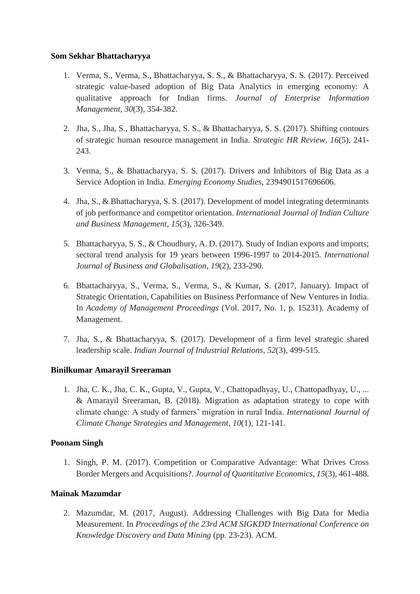### **[Som Sekhar Bhattacharyya](http://www.nitie.edu/Faculty%20Profile/som.pdf)**

- 1. Verma, S., Verma, S., Bhattacharyya, S. S., & Bhattacharyya, S. S. (2017). Perceived strategic value-based adoption of Big Data Analytics in emerging economy: A qualitative approach for Indian firms. *Journal of Enterprise Information Management*, *30*(3), 354-382.
- 2. Jha, S., Jha, S., Bhattacharyya, S. S., & Bhattacharyya, S. S. (2017). Shifting contours of strategic human resource management in India. *Strategic HR Review*, *16*(5), 241- 243.
- 3. Verma, S., & Bhattacharyya, S. S. (2017). Drivers and Inhibitors of Big Data as a Service Adoption in India. *Emerging Economy Studies*, 2394901517696606.
- 4. Jha, S., & Bhattacharyya, S. S. (2017). Development of model integrating determinants of job performance and competitor orientation. *International Journal of Indian Culture and Business Management*, *15*(3), 326-349.
- 5. Bhattacharyya, S. S., & Choudhury, A. D. (2017). Study of Indian exports and imports; sectoral trend analysis for 19 years between 1996-1997 to 2014-2015. *International Journal of Business and Globalisation*, *19*(2), 233-290.
- 6. Bhattacharyya, S., Verma, S., Verma, S., & Kumar, S. (2017, January). Impact of Strategic Orientation, Capabilities on Business Performance of New Ventures in India. In *Academy of Management Proceedings* (Vol. 2017, No. 1, p. 15231). Academy of Management.
- 7. Jha, S., & Bhattacharyya, S. (2017). Development of a firm level strategic shared leadership scale. *Indian Journal of Industrial Relations*, *52*(3), 499-515.

## **[Binilkumar](http://www.nitie.edu/Faculty%20Profile/binil.pdf) Amarayil Sreeraman**

1. Jha, C. K., Jha, C. K., Gupta, V., Gupta, V., Chattopadhyay, U., Chattopadhyay, U., ... & Amarayil Sreeraman, B. (2018). Migration as adaptation strategy to cope with climate change: A study of farmers' migration in rural India. *International Journal of Climate Change Strategies and Management*, *10*(1), 121-141.

## **Poonam Singh**

1. Singh, P. M. (2017). Competition or Comparative Advantage: What Drives Cross Border Mergers and Acquisitions?. *Journal of Quantitative Economics*, *15*(3), 461-488.

#### **[Mainak Mazumdar](https://www.nitie.edu/CV%20Mainak%20Mazumdar%20.pdf)**

2. Mazumdar, M. (2017, August). Addressing Challenges with Big Data for Media Measurement. In *Proceedings of the 23rd ACM SIGKDD International Conference on Knowledge Discovery and Data Mining* (pp. 23-23). ACM.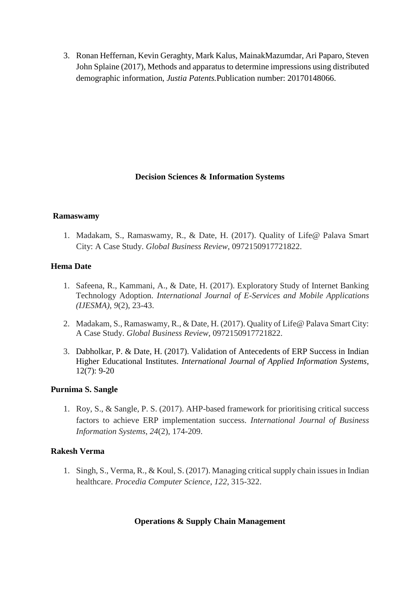3. Ronan Heffernan, Kevin Geraghty, Mark Kalus, MainakMazumdar, Ari Paparo, Steven John Splaine (2017), Methods and apparatus to determine impressions using distributed demographic information, *Justia Patents.*Publication number: 20170148066.

## **Decision Sciences & Information Systems**

#### **Ramaswamy**

1. Madakam, S., Ramaswamy, R., & Date, H. (2017). Quality of Life@ Palava Smart City: A Case Study. *Global Business Review*, 0972150917721822.

### **[Hema](https://www.nitie.edu/20170620%20Website%20Hema%20Date%20Short%20%20professor%20profile.pdf) Date**

- 1. Safeena, R., Kammani, A., & Date, H. (2017). Exploratory Study of Internet Banking Technology Adoption. *International Journal of E-Services and Mobile Applications (IJESMA)*, *9*(2), 23-43.
- 2. Madakam, S., Ramaswamy, R., & Date, H. (2017). Quality of Life@ Palava Smart City: A Case Study. *Global Business Review*, 0972150917721822.
- 3. Dabholkar, P. & Date, H. (2017). Validation of Antecedents of ERP Success in Indian Higher Educational Institutes. *International Journal of Applied Information Systems,* 12(7): 9-20

#### **[Purnima](http://www.nitie.edu/index.php?option=com_content&task=view&id=285&Itemid=103&lang=en) S. Sangle**

1. Roy, S., & Sangle, P. S. (2017). AHP-based framework for prioritising critical success factors to achieve ERP implementation success. *International Journal of Business Information Systems*, *24*(2), 174-209.

## **Rakesh Verma**

1. Singh, S., Verma, R., & Koul, S. (2017). Managing critical supply chain issues in Indian healthcare. *Procedia Computer Science*, *122*, 315-322.

## **Operations & Supply Chain Management**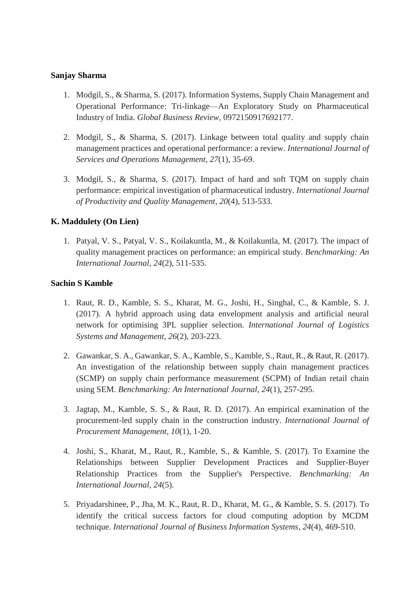#### **[Sanjay Sharma](https://www.nitie.edu/index.php?option=com_content&view=article&id=4665&Itemid=561&lang=en)**

- 1. Modgil, S., & Sharma, S. (2017). Information Systems, Supply Chain Management and Operational Performance: Tri-linkage—An Exploratory Study on Pharmaceutical Industry of India. *Global Business Review*, 0972150917692177.
- 2. Modgil, S., & Sharma, S. (2017). Linkage between total quality and supply chain management practices and operational performance: a review. *International Journal of Services and Operations Management*, *27*(1), 35-69.
- 3. Modgil, S., & Sharma, S. (2017). Impact of hard and soft TQM on supply chain performance: empirical investigation of pharmaceutical industry. *International Journal of Productivity and Quality Management*, *20*(4), 513-533.

# **K. [Maddulety](https://www.nitie.edu/Dr_maddulety_2013.pdf) (On Lien)**

1. Patyal, V. S., Patyal, V. S., Koilakuntla, M., & Koilakuntla, M. (2017). The impact of quality management practices on performance: an empirical study. *Benchmarking: An International Journal*, *24*(2), 511-535.

## **[Sachin S Kamble](https://www.nitie.edu/Sachin%20Kamble-2017.pdf)**

- 1. Raut, R. D., Kamble, S. S., Kharat, M. G., Joshi, H., Singhal, C., & Kamble, S. J. (2017). A hybrid approach using data envelopment analysis and artificial neural network for optimising 3PL supplier selection. *International Journal of Logistics Systems and Management*, *26*(2), 203-223.
- 2. Gawankar, S. A., Gawankar, S. A., Kamble, S., Kamble, S., Raut, R., & Raut, R. (2017). An investigation of the relationship between supply chain management practices (SCMP) on supply chain performance measurement (SCPM) of Indian retail chain using SEM. *Benchmarking: An International Journal*, *24*(1), 257-295.
- 3. Jagtap, M., Kamble, S. S., & Raut, R. D. (2017). An empirical examination of the procurement-led supply chain in the construction industry. *International Journal of Procurement Management*, *10*(1), 1-20.
- 4. Joshi, S., Kharat, M., Raut, R., Kamble, S., & Kamble, S. (2017). To Examine the Relationships between Supplier Development Practices and Supplier-Buyer Relationship Practices from the Supplier's Perspective. *Benchmarking: An International Journal*, *24*(5).
- 5. Priyadarshinee, P., Jha, M. K., Raut, R. D., Kharat, M. G., & Kamble, S. S. (2017). To identify the critical success factors for cloud computing adoption by MCDM technique. *International Journal of Business Information Systems*, *24*(4), 469-510.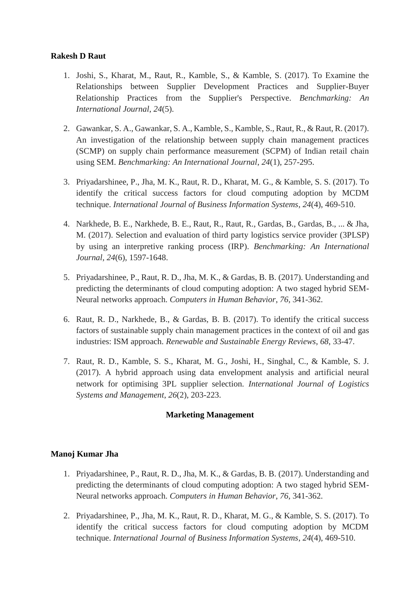# **Rakesh [D Raut](https://www.nitie.edu/index.php?option=com_content&view=article&id=4653&Itemid=561&lang=en)**

- 1. Joshi, S., Kharat, M., Raut, R., Kamble, S., & Kamble, S. (2017). To Examine the Relationships between Supplier Development Practices and Supplier-Buyer Relationship Practices from the Supplier's Perspective. *Benchmarking: An International Journal*, *24*(5).
- 2. Gawankar, S. A., Gawankar, S. A., Kamble, S., Kamble, S., Raut, R., & Raut, R. (2017). An investigation of the relationship between supply chain management practices (SCMP) on supply chain performance measurement (SCPM) of Indian retail chain using SEM. *Benchmarking: An International Journal*, *24*(1), 257-295.
- 3. Priyadarshinee, P., Jha, M. K., Raut, R. D., Kharat, M. G., & Kamble, S. S. (2017). To identify the critical success factors for cloud computing adoption by MCDM technique. *International Journal of Business Information Systems*, *24*(4), 469-510.
- 4. Narkhede, B. E., Narkhede, B. E., Raut, R., Raut, R., Gardas, B., Gardas, B., ... & Jha, M. (2017). Selection and evaluation of third party logistics service provider (3PLSP) by using an interpretive ranking process (IRP). *Benchmarking: An International Journal*, *24*(6), 1597-1648.
- 5. Priyadarshinee, P., Raut, R. D., Jha, M. K., & Gardas, B. B. (2017). Understanding and predicting the determinants of cloud computing adoption: A two staged hybrid SEM-Neural networks approach. *Computers in Human Behavior*, *76*, 341-362.
- 6. Raut, R. D., Narkhede, B., & Gardas, B. B. (2017). To identify the critical success factors of sustainable supply chain management practices in the context of oil and gas industries: ISM approach. *Renewable and Sustainable Energy Reviews*, *68*, 33-47.
- 7. Raut, R. D., Kamble, S. S., Kharat, M. G., Joshi, H., Singhal, C., & Kamble, S. J. (2017). A hybrid approach using data envelopment analysis and artificial neural network for optimising 3PL supplier selection. *International Journal of Logistics Systems and Management*, *26*(2), 203-223.

## **Marketing Management**

## **Manoj [Kumar](https://www.nitie.edu/JHA%20M.%20K..pdf) Jha**

- 1. Priyadarshinee, P., Raut, R. D., Jha, M. K., & Gardas, B. B. (2017). Understanding and predicting the determinants of cloud computing adoption: A two staged hybrid SEM-Neural networks approach. *Computers in Human Behavior*, *76*, 341-362.
- 2. Priyadarshinee, P., Jha, M. K., Raut, R. D., Kharat, M. G., & Kamble, S. S. (2017). To identify the critical success factors for cloud computing adoption by MCDM technique. *International Journal of Business Information Systems*, *24*(4), 469-510.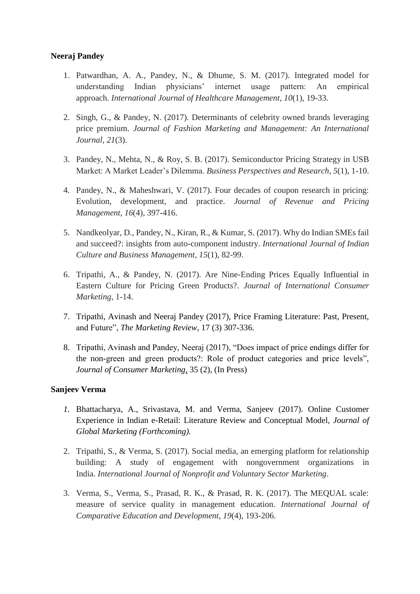## **Neeraj [Pandey](https://www.nitie.edu/Profile_NP_NITIE%20website.pdf)**

- 1. Patwardhan, A. A., Pandey, N., & Dhume, S. M. (2017). Integrated model for understanding Indian physicians' internet usage pattern: An empirical approach. *International Journal of Healthcare Management*, *10*(1), 19-33.
- 2. Singh, G., & Pandey, N. (2017). Determinants of celebrity owned brands leveraging price premium. *Journal of Fashion Marketing and Management: An International Journal*, *21*(3).
- 3. Pandey, N., Mehta, N., & Roy, S. B. (2017). Semiconductor Pricing Strategy in USB Market: A Market Leader's Dilemma. *Business Perspectives and Research*, *5*(1), 1-10.
- 4. Pandey, N., & Maheshwari, V. (2017). Four decades of coupon research in pricing: Evolution, development, and practice. *Journal of Revenue and Pricing Management*, *16*(4), 397-416.
- 5. Nandkeolyar, D., Pandey, N., Kiran, R., & Kumar, S. (2017). Why do Indian SMEs fail and succeed?: insights from auto-component industry. *International Journal of Indian Culture and Business Management*, *15*(1), 82-99.
- 6. Tripathi, A., & Pandey, N. (2017). Are Nine-Ending Prices Equally Influential in Eastern Culture for Pricing Green Products?. *Journal of International Consumer Marketing*, 1-14.
- 7. Tripathi, Avinash and Neeraj Pandey (2017), Price Framing Literature: Past, Present, and Future", *The Marketing Review*, 17 (3) 307-336.
- 8. Tripathi, Avinash and Pandey, Neeraj (2017), "Does impact of price endings differ for the non-green and green products?: Role of product categories and price levels", *Journal of Consumer Marketing*, 35 (2), (In Press)

#### **Sanjeev Verma**

- *1.* Bhattacharya, A., Srivastava, M. and Verma, Sanjeev (2017). Online Customer Experience in Indian e-Retail: Literature Review and Conceptual Model, *Journal of Global Marketing (Forthcoming).*
- 2. Tripathi, S., & Verma, S. (2017). Social media, an emerging platform for relationship building: A study of engagement with nongovernment organizations in India. *International Journal of Nonprofit and Voluntary Sector Marketing*.
- 3. Verma, S., Verma, S., Prasad, R. K., & Prasad, R. K. (2017). The MEQUAL scale: measure of service quality in management education. *International Journal of Comparative Education and Development*, *19*(4), 193-206.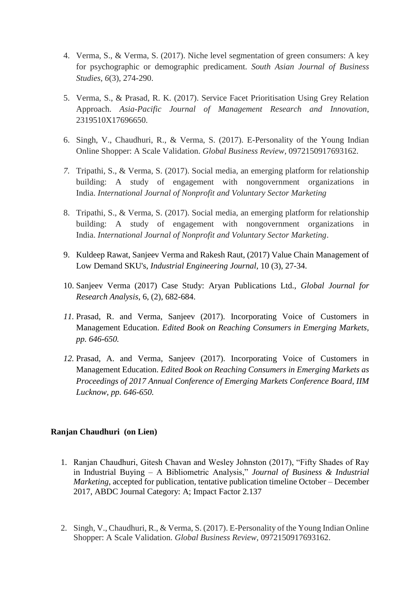- 4. Verma, S., & Verma, S. (2017). Niche level segmentation of green consumers: A key for psychographic or demographic predicament. *South Asian Journal of Business Studies*, *6*(3), 274-290.
- 5. Verma, S., & Prasad, R. K. (2017). Service Facet Prioritisation Using Grey Relation Approach. *Asia-Pacific Journal of Management Research and Innovation*, 2319510X17696650.
- 6. Singh, V., Chaudhuri, R., & Verma, S. (2017). E-Personality of the Young Indian Online Shopper: A Scale Validation. *Global Business Review*, 0972150917693162.
- *7.* Tripathi, S., & Verma, S. (2017). Social media, an emerging platform for relationship building: A study of engagement with nongovernment organizations in India. *International Journal of Nonprofit and Voluntary Sector Marketing*
- 8. Tripathi, S., & Verma, S. (2017). Social media, an emerging platform for relationship building: A study of engagement with nongovernment organizations in India. *International Journal of Nonprofit and Voluntary Sector Marketing*.
- 9. Kuldeep Rawat, Sanjeev Verma and Rakesh Raut, (2017) Value Chain Management of Low Demand SKU's, *Industrial Engineering Journal*, 10 (3), 27-34.
- 10. Sanjeev Verma (2017) Case Study: Aryan Publications Ltd., *Global Journal for Research Analysis*, 6, (2), 682-684.
- *11.* Prasad, R. and Verma, Sanjeev (2017). Incorporating Voice of Customers in Management Education. *Edited Book on Reaching Consumers in Emerging Markets, pp. 646-650.*
- *12.* Prasad, A. and Verma, Sanjeev (2017). Incorporating Voice of Customers in Management Education. *Edited Book on Reaching Consumers in Emerging Markets as Proceedings of 2017 Annual Conference of Emerging Markets Conference Board, IIM Lucknow, pp. 646-650.*

### **Ranjan Chaudhuri (on Lien)**

- 1. Ranjan Chaudhuri, Gitesh Chavan and Wesley Johnston (2017), "Fifty Shades of Ray in Industrial Buying – A Bibliometric Analysis," *Journal of Business & Industrial Marketing*, accepted for publication, tentative publication timeline October – December 2017, ABDC Journal Category: A; Impact Factor 2.137
- 2. Singh, V., Chaudhuri, R., & Verma, S. (2017). E-Personality of the Young Indian Online Shopper: A Scale Validation. *Global Business Review*, 0972150917693162.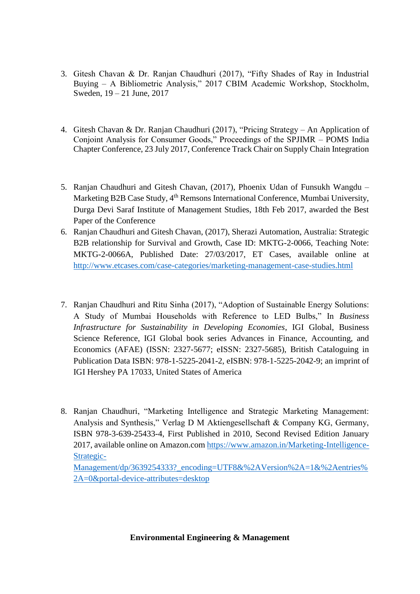- 3. Gitesh Chavan & Dr. Ranjan Chaudhuri (2017), "Fifty Shades of Ray in Industrial Buying – A Bibliometric Analysis," 2017 CBIM Academic Workshop, Stockholm, Sweden, 19 – 21 June, 2017
- 4. Gitesh Chavan & Dr. Ranjan Chaudhuri (2017), "Pricing Strategy An Application of Conjoint Analysis for Consumer Goods," Proceedings of the SPJIMR – POMS India Chapter Conference, 23 July 2017, Conference Track Chair on Supply Chain Integration
- 5. Ranjan Chaudhuri and Gitesh Chavan, (2017), Phoenix Udan of Funsukh Wangdu Marketing B2B Case Study, 4<sup>th</sup> Remsons International Conference, Mumbai University, Durga Devi Saraf Institute of Management Studies, 18th Feb 2017, awarded the Best Paper of the Conference
- 6. Ranjan Chaudhuri and Gitesh Chavan, (2017), Sherazi Automation, Australia: Strategic B2B relationship for Survival and Growth, Case ID: MKTG-2-0066, Teaching Note: MKTG-2-0066A, Published Date: 27/03/2017, ET Cases, available online at <http://www.etcases.com/case-categories/marketing-management-case-studies.html>
- 7. Ranjan Chaudhuri and Ritu Sinha (2017), "Adoption of Sustainable Energy Solutions: A Study of Mumbai Households with Reference to LED Bulbs," In *Business Infrastructure for Sustainability in Developing Economies*, IGI Global, Business Science Reference, IGI Global book series Advances in Finance, Accounting, and Economics (AFAE) (ISSN: 2327-5677; eISSN: 2327-5685), British Cataloguing in Publication Data ISBN: 978-1-5225-2041-2, eISBN: 978-1-5225-2042-9; an imprint of IGI Hershey PA 17033, United States of America
- 8. Ranjan Chaudhuri, "Marketing Intelligence and Strategic Marketing Management: Analysis and Synthesis," Verlag D M Aktiengesellschaft & Company KG, Germany, ISBN 978-3-639-25433-4, First Published in 2010, Second Revised Edition January 2017, available online on Amazon.com [https://www.amazon.in/Marketing-Intelligence-](https://www.amazon.in/Marketing-Intelligence-Strategic-Management/dp/3639254333?_encoding=UTF8&%2AVersion%2A=1&%2Aentries%2A=0&portal-device-attributes=desktop)[Strategic-](https://www.amazon.in/Marketing-Intelligence-Strategic-Management/dp/3639254333?_encoding=UTF8&%2AVersion%2A=1&%2Aentries%2A=0&portal-device-attributes=desktop)Management/dp/3639254333? encoding=UTF8&%2AVersion%2A=1&%2Aentries% [2A=0&portal-device-attributes=desktop](https://www.amazon.in/Marketing-Intelligence-Strategic-Management/dp/3639254333?_encoding=UTF8&%2AVersion%2A=1&%2Aentries%2A=0&portal-device-attributes=desktop)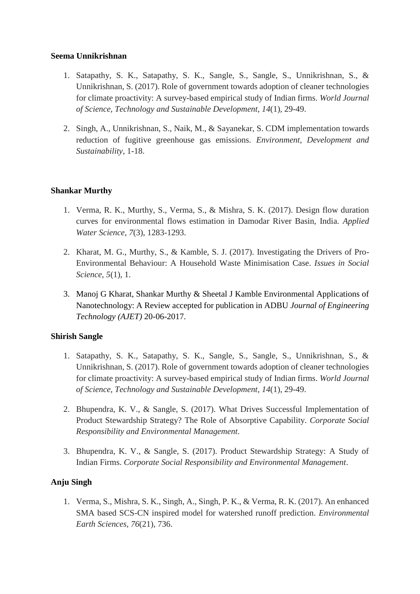### **Seema Unnikrishnan**

- 1. Satapathy, S. K., Satapathy, S. K., Sangle, S., Sangle, S., Unnikrishnan, S., & Unnikrishnan, S. (2017). Role of government towards adoption of cleaner technologies for climate proactivity: A survey-based empirical study of Indian firms. *World Journal of Science, Technology and Sustainable Development*, *14*(1), 29-49.
- 2. Singh, A., Unnikrishnan, S., Naik, M., & Sayanekar, S. CDM implementation towards reduction of fugitive greenhouse gas emissions. *Environment, Development and Sustainability*, 1-18.

# **Shankar Murthy**

- 1. Verma, R. K., Murthy, S., Verma, S., & Mishra, S. K. (2017). Design flow duration curves for environmental flows estimation in Damodar River Basin, India. *Applied Water Science*, *7*(3), 1283-1293.
- 2. Kharat, M. G., Murthy, S., & Kamble, S. J. (2017). Investigating the Drivers of Pro-Environmental Behaviour: A Household Waste Minimisation Case. *Issues in Social Science*, *5*(1), 1.
- 3. Manoj G Kharat, Shankar Murthy & Sheetal J Kamble Environmental Applications of Nanotechnology: A Review accepted for publication in ADBU *Journal of Engineering Technology (AJET)* 20-06-2017.

## **Shirish Sangle**

- 1. Satapathy, S. K., Satapathy, S. K., Sangle, S., Sangle, S., Unnikrishnan, S., & Unnikrishnan, S. (2017). Role of government towards adoption of cleaner technologies for climate proactivity: A survey-based empirical study of Indian firms. *World Journal of Science, Technology and Sustainable Development*, *14*(1), 29-49.
- 2. Bhupendra, K. V., & Sangle, S. (2017). What Drives Successful Implementation of Product Stewardship Strategy? The Role of Absorptive Capability. *Corporate Social Responsibility and Environmental Management*.
- 3. Bhupendra, K. V., & Sangle, S. (2017). Product Stewardship Strategy: A Study of Indian Firms. *Corporate Social Responsibility and Environmental Management*.

# **Anju Singh**

1. Verma, S., Mishra, S. K., Singh, A., Singh, P. K., & Verma, R. K. (2017). An enhanced SMA based SCS-CN inspired model for watershed runoff prediction. *Environmental Earth Sciences*, *76*(21), 736.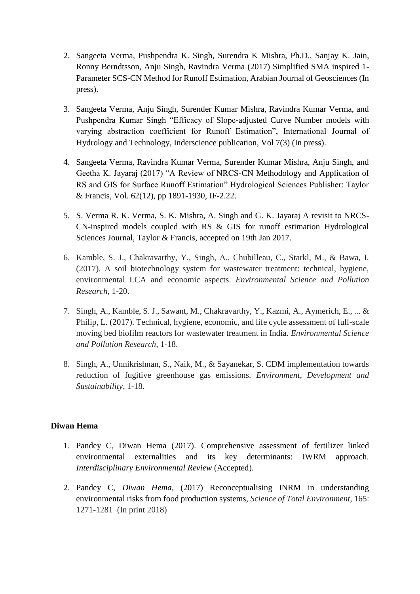- 2. Sangeeta Verma, Pushpendra K. Singh, Surendra K Mishra, Ph.D., Sanjay K. Jain, Ronny Berndtsson, Anju Singh, Ravindra Verma (2017) Simplified SMA inspired 1- Parameter SCS-CN Method for Runoff Estimation, Arabian Journal of Geosciences (In press).
- 3. Sangeeta Verma, Anju Singh, Surender Kumar Mishra, Ravindra Kumar Verma, and Pushpendra Kumar Singh "Efficacy of Slope-adjusted Curve Number models with varying abstraction coefficient for Runoff Estimation", International Journal of Hydrology and Technology, Inderscience publication, Vol 7(3) (In press).
- 4. Sangeeta Verma, Ravindra Kumar Verma, Surender Kumar Mishra, Anju Singh, and Geetha K. Jayaraj (2017) "A Review of NRCS-CN Methodology and Application of RS and GIS for Surface Runoff Estimation" Hydrological Sciences Publisher: Taylor & Francis, Vol. 62(12), pp 1891-1930, IF-2.22.
- 5. S. Verma R. K. Verma, S. K. Mishra, A. Singh and G. K. Jayaraj A revisit to NRCS-CN-inspired models coupled with RS & GIS for runoff estimation Hydrological Sciences Journal, Taylor & Francis, accepted on 19th Jan 2017.
- 6. Kamble, S. J., Chakravarthy, Y., Singh, A., Chubilleau, C., Starkl, M., & Bawa, I. (2017). A soil biotechnology system for wastewater treatment: technical, hygiene, environmental LCA and economic aspects. *Environmental Science and Pollution Research*, 1-20.
- 7. Singh, A., Kamble, S. J., Sawant, M., Chakravarthy, Y., Kazmi, A., Aymerich, E., ... & Philip, L. (2017). Technical, hygiene, economic, and life cycle assessment of full-scale moving bed biofilm reactors for wastewater treatment in India. *Environmental Science and Pollution Research*, 1-18.
- 8. Singh, A., Unnikrishnan, S., Naik, M., & Sayanekar, S. CDM implementation towards reduction of fugitive greenhouse gas emissions. *Environment, Development and Sustainability*, 1-18.

#### **Diwan Hema**

- 1. Pandey C*,* Diwan Hema (2017). Comprehensive assessment of fertilizer linked environmental externalities and its key determinants: IWRM approach. *Interdisciplinary Environmental Review* (Accepted).
- 2. Pandey C, *Diwan Hema,* (2017) Reconceptualising INRM in understanding environmental risks from food production systems, *Science of Total Environment*, 165: 1271-1281 (In print 2018)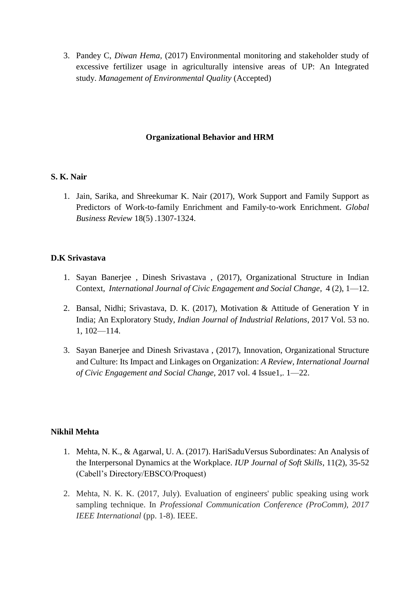3. Pandey C, *Diwan Hema,* (2017) Environmental monitoring and stakeholder study of excessive fertilizer usage in agriculturally intensive areas of UP: An Integrated study. *Management of Environmental Quality* (Accepted)

### **Organizational Behavior and HRM**

### **[S. K.](https://www.nitie.edu/Dr%20Shreekumar%20Nair.pdf) Nair**

1. Jain, Sarika, and Shreekumar K. Nair (2017), Work Support and Family Support as Predictors of Work-to-family Enrichment and Family-to-work Enrichment. *Global Business Review* 18(5) .1307-1324.

### **D.K Srivastava**

- 1. Sayan Banerjee , Dinesh Srivastava , (2017), Organizational Structure in Indian Context, *International Journal of Civic Engagement and Social Change*, 4 (2), 1—12.
- 2. Bansal, Nidhi; Srivastava, D. K. (2017), Motivation & Attitude of Generation Y in India; An Exploratory Study, *Indian Journal of Industrial Relations*, 2017 Vol. 53 no. 1, 102—114.
- 3. Sayan Banerjee and Dinesh Srivastava , (2017), Innovation, Organizational Structure and Culture: Its Impact and Linkages on Organization: *A Review, International Journal of Civic Engagement and Social Change*, 2017 vol. 4 Issue1,. 1—22.

### **Nikhil Mehta**

- 1. Mehta, N. K., & Agarwal, U. A. (2017). HariSaduVersus Subordinates: An Analysis of the Interpersonal Dynamics at the Workplace. *IUP Journal of Soft Skills*, 11(2), 35-52 (Cabell's Directory/EBSCO/Proquest)
- 2. Mehta, N. K. K. (2017, July). Evaluation of engineers' public speaking using work sampling technique. In *Professional Communication Conference (ProComm), 2017 IEEE International* (pp. 1-8). IEEE.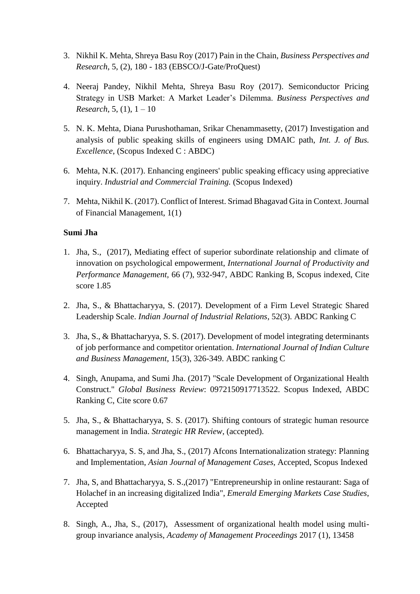- 3. Nikhil K. Mehta, Shreya Basu Roy (2017) Pain in the Chain, *Business Perspectives and Research*, 5, (2), 180 - 183 (EBSCO/J-Gate/ProQuest)
- 4. Neeraj Pandey, Nikhil Mehta, Shreya Basu Roy (2017). Semiconductor Pricing Strategy in USB Market: A Market Leader's Dilemma. *Business Perspectives and Research*, 5, (1), 1 – 10
- 5. N. K. Mehta, Diana Purushothaman, Srikar Chenammasetty, (2017) Investigation and analysis of public speaking skills of engineers using DMAIC path, *Int. J. of Bus. Excellence*, (Scopus Indexed C : ABDC)
- 6. Mehta, N.K. (2017). Enhancing engineers' public speaking efficacy using appreciative inquiry. *Industrial and Commercial Training.* (Scopus Indexed)
- 7. Mehta, Nikhil K. (2017). Conflict of Interest. Srimad Bhagavad Gita in Context. Journal of Financial Management, 1(1)

### **Sumi Jha**

- 1. Jha, S., (2017), Mediating effect of superior subordinate relationship and climate of innovation on psychological empowerment, *International Journal of Productivity and Performance Management,* 66 (7), 932-947, ABDC Ranking B, Scopus indexed, Cite score 1.85
- 2. Jha, S., & Bhattacharyya, S. (2017). Development of a Firm Level Strategic Shared Leadership Scale. *Indian Journal of Industrial Relations*, 52(3). ABDC Ranking C
- 3. Jha, S., & Bhattacharyya, S. S. (2017). Development of model integrating determinants of job performance and competitor orientation. *International Journal of Indian Culture and Business Management*, 15(3), 326-349. ABDC ranking C
- 4. Singh, Anupama, and Sumi Jha. (2017) "Scale Development of Organizational Health Construct." *Global Business Review*: 0972150917713522. Scopus Indexed, ABDC Ranking C, Cite score 0.67
- 5. Jha, S., & Bhattacharyya, S. S. (2017). Shifting contours of strategic human resource management in India. *Strategic HR Review*, (accepted).
- 6. Bhattacharyya, S. S, and Jha, S., (2017) Afcons Internationalization strategy: Planning and Implementation, *Asian Journal of Management Cases*, Accepted, Scopus Indexed
- 7. Jha, S, and Bhattacharyya, S. S.,(2017) "Entrepreneurship in online restaurant: Saga of Holachef in an increasing digitalized India", *Emerald Emerging Markets Case Studies*, Accepted
- 8. Singh, A., Jha, S., (2017), Assessment of organizational health model using multigroup invariance analysis, *Academy of Management Proceedings* 2017 (1), 13458